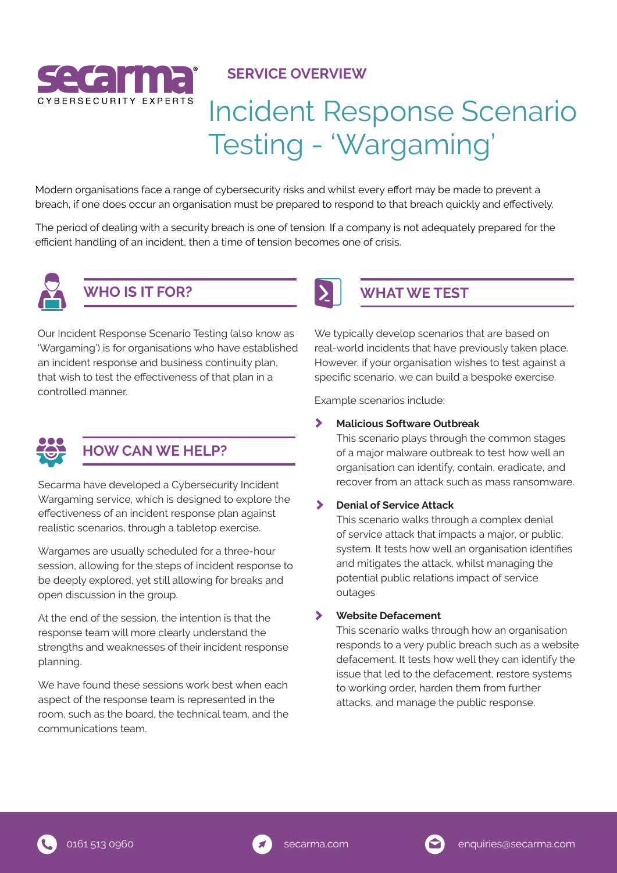

## **SERVICE OVERVIEW**

# Incident Response Scenario Testing - 'Wargaming'

Modern organisations face a range of cybersecurity risks and whilst every effort may be made to prevent a breach, if one does occur an organisation must be prepared to respond to that breach quickly and effectively.

The period of dealing with a security breach is one of tension. If a company is not adequately prepared for the efficient handling of an incident, then a time of tension becomes one of crisis.



# **WHO IS IT FOR?**

Our Incident Response Scenario Testing (also know as 'Wargaming') is for organisations who have established an incident response and business continuity plan, that wish to test the effectiveness of that plan in a controlled manner.



# **HOW CAN WE HELP?**

Secarma have developed a Cybersecurity Incident Wargaming service, which is designed to explore the effectiveness of an incident response plan against realistic scenarios, through a tabletop exercise.

Wargames are usually scheduled for a three-hour session, allowing for the steps of incident response to be deeply explored, yet still allowing for breaks and open discussion in the group.

At the end of the session, the intention is that the response team will more clearly understand the strengths and weaknesses of their incident response planning.

We have found these sessions work best when each aspect of the response team is represented in the room, such as the board, the technical team, and the communications team.



# **WHAT WE TEST**

We typically develop scenarios that are based on real-world incidents that have previously taken place. However, if your organisation wishes to test against a specific scenario, we can build a bespoke exercise.

Example scenarios include:

### $\blacktriangleright$ **Malicious Software Outbreak**

This scenario plays through the common stages of a major malware outbreak to test how well an organisation can identify, contain, eradicate, and recover from an attack such as mass ransomware.

### $\blacktriangleright$ **Denial of Service Attack**

This scenario walks through a complex denial of service attack that impacts a major, or public, system. It tests how well an organisation identifies and mitigates the attack, whilst managing the potential public relations impact of service outages

 $\blacktriangleright$ **Website Defacement** 

> This scenario walks through how an organisation responds to a very public breach such as a website defacement. It tests how well they can identify the issue that led to the defacement, restore systems to working order, harden them from further attacks, and manage the public response.